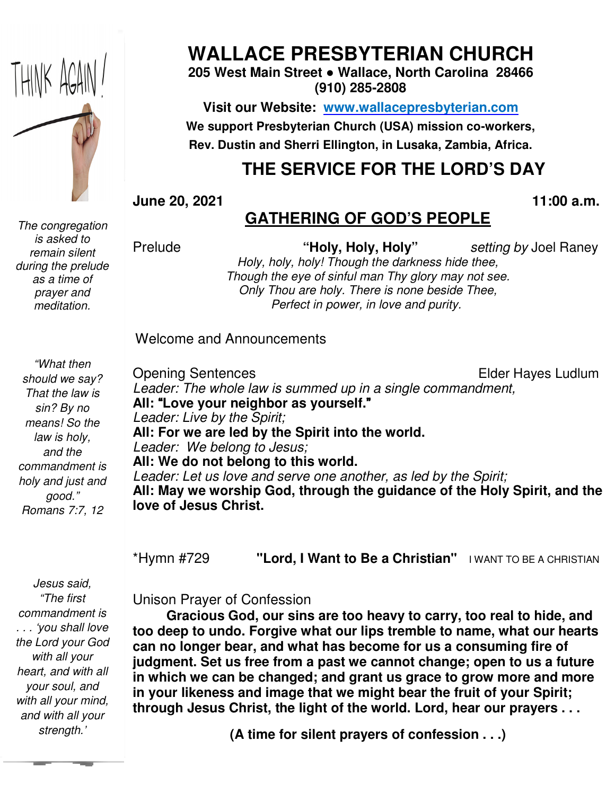

*The congregation is asked to remain silent during the prelude as a time of prayer and meditation.* 

# **WALLACE WALLACE PRESBYTERIAN CHURCH**

**205 West Main Main Street ● Wallace, North Carolina 28466 (910) 285-2808** 

**Visit our Website: Website: www.wallacepresbyterian.com We support Presbyterian Presbyterian Church (USA) mission co-workers, Rev. Dustin and and Sherri Ellington, in Lusaka, Zambia, Africa.** 

## **THE SERVICE FOR THE LORD'S DAY**

**June 20, 2021** 

#### **11:00 :00 a.m.**

## **GATHERING GATHERING OF GOD'S PEOPLE**

Prelude

 **"Holy, Holy, Holy"** *setting by* Joel setting by Joel Raney

*Holy, holy, holy, holy! Though the darkness hide thee, Though the the eye of sinful man Thy glory may not see. Only Thou Thou are holy. There is none beside Thee, Perfect Perfect in power, in love and purity.* 

### Welcome and Announcements

*"What then should we say? That the law is sin? By no means! So the law is holy, and the commandment is holy and just and good." Romans 7:7, 12* 

Opening Sentences Leader: The whole law is summed up in a single commandment, **All:** "**Love your neighbor neighbor as yourself.**" *Leader: Live by the Spirit; Spirit;***All: For we are led by the the Spirit into the world.**  *Leader: We belong to Jesus;* All: We do not belong to this world. Leader: Let us love and serve one another, as led by the Spirit; All: May we worship God, through the guidance of the Holy Spirit, and the **love of Jesus Christ.**  Elder Hayes Ludlum

\*Hymn #729 **"Lord, "Lord, I Want to Be a Christian"** I WANT TO BE A CHRISTIAN

 *your soul, and Jesus said, "The first commandment is . . . 'you shall love the Lord your God with all your heart, and with all with all your mind, and with all your strength.'* 

Unison Prayer of Confes Confession

Gracious God, our sins are too heavy to carry, too real to hide, and **too deep to undo. Forgive Forgive what our lips tremble to name, what our hearts**  can no longer bear, and what has become for us a consuming fire of **judgment. Set us free from from a past we cannot change; open to us a future in which we can be changed; changed; and grant us grace to grow more and more**  in your likeness and image that we might bear the fruit of your Spirit; through Jesus Christ, the light of the world. Lord, hear our prayers . . .

**(A time for silent prayers of confession . . .)**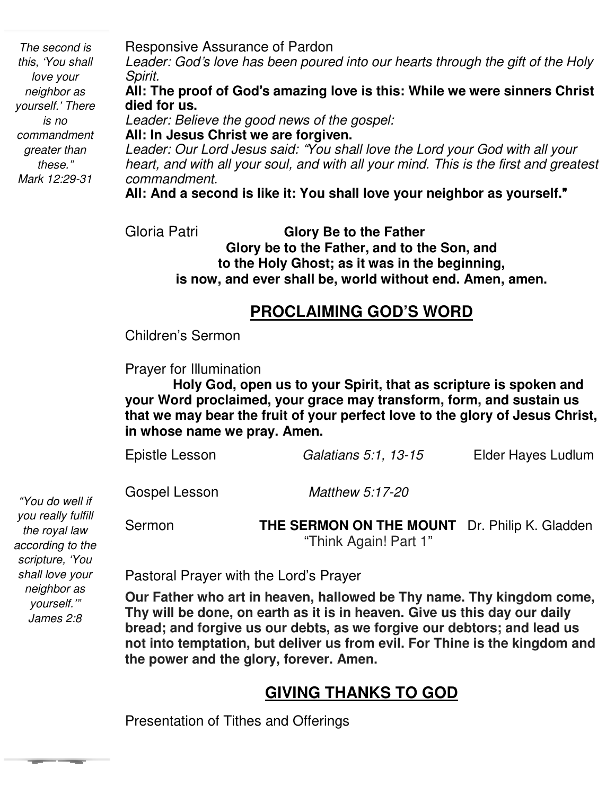*The second is this, 'You shall love your neighbor as yourself.' There is no commandment greater than these." Mark 12:29-31* 

Responsive Assurance of Pardon

*Leader: God*'*s love has been poured into our hearts through the gift of the Holy Spirit.* 

**All: The proof of God**'**s amazing love is this: While we were sinners Christ died for us.** 

*Leader: Believe the good news of the gospel:*  **All: In Jesus Christ we are forgiven.** 

*Leader: Our Lord Jesus said:* "*You shall love the Lord your God with all your heart, and with all your soul, and with all your mind. This is the first and greatest commandment.* 

**All: And a second is like it: You shall love your neighbor as yourself.**"

Gloria Patri

**Glory Be to the Father Glory be to the Father, and to the Son, and to the Holy Ghost; as it was in the beginning, is now, and ever shall be, world without end. Amen, amen.** 

### **PROCLAIMING GOD'S WORD**

Children's Sermon

Prayer for Illumination

**Holy God, open us to your Spirit, that as scripture is spoken and your Word proclaimed, your grace may transform, form, and sustain us that we may bear the fruit of your perfect love to the glory of Jesus Christ, in whose name we pray. Amen.** 

| Epistle Lesson | Galatians 5:1, 13-15 | Elder Hayes Ludlum |
|----------------|----------------------|--------------------|
| Gospel Lesson  | Matthew 5:17-20      |                    |

Sermon **THE SERMON ON THE MOUNT** Dr. Philip K. Gladden "Think Again! Part 1"

Pastoral Prayer with the Lord's Prayer

 **Thy will be done, on earth as it is in heaven. Give us this day our daily Our Father who art in heaven, hallowed be Thy name. Thy kingdom come, bread; and forgive us our debts, as we forgive our debtors; and lead us not into temptation, but deliver us from evil. For Thine is the kingdom and the power and the glory, forever. Amen.** 

## **GIVING THANKS TO GOD**

Presentation of Tithes and Offerings

*"You do well if you really fulfill the royal law according to the scripture, 'You shall love your neighbor as yourself.'" James 2:8* 

**The Color**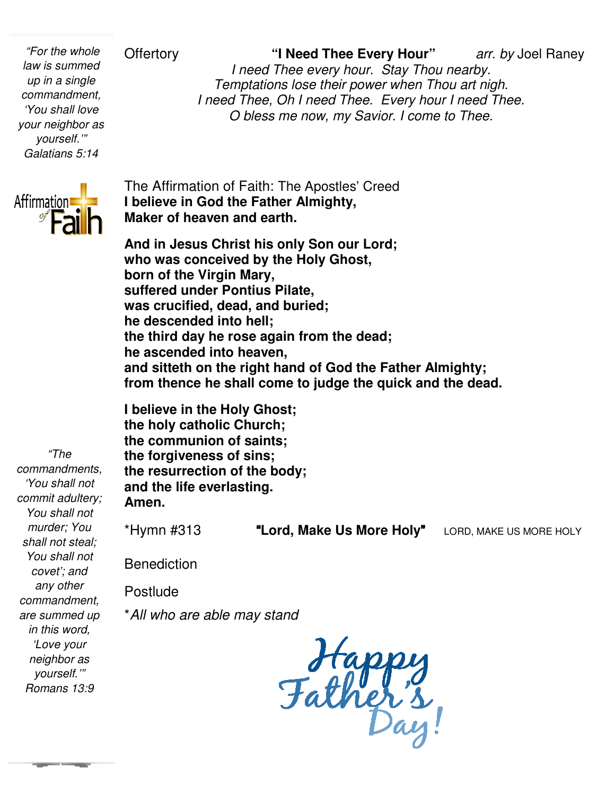*"For the whole law is summed up in a single commandment, 'You shall love your neighbor as yourself.'" Galatians 5:14* 

Offertory **11 Need Thee Every Hour**" arr. by Joel Raney *I need Thee Thee every hour. Stay Thou nearby. Temptations Temptations lose their power when Thou art nigh. I* need Thee, Oh I need Thee. Every hour I need Thee. *O bless me me now, my Savior. I come to Thee.* arr. by Joel Raney



The Affirmation of Faith: The Apostles' Creed **I believe in God the Father Father Almighty, Maker of heaven and earth.**

And in Jesus Christ his only Son our Lord; **who was conceived by the the Holy Ghost, born of the Virgin Mary, suffered under Pontius Pilate, was crucified, dead, and and buried; he descended into hell; the third day he rose again again from the dead; he ascended into heaven, and sitteth on the right hand hand of God the Father Almighty;**  from thence he shall come to judge the quick and the dead.

**I believe in the Holy Ghost; the holy catholic Church; the communion of saints; the forgiveness of sins; the resurrection of the body; and the life everlasting. Amen.** 

\*Hymn #313 "**Lord,**

**Lord, Make Us More Holy"** LORD, MAKE US MORE HOLY

**Benediction** 

Postlude

\**All who are able may stand*



*commandments, 'You shall not commit adultery; You shall not murder; You shall not steal; You shall not covet'; and any other commandment, are summed up in this word, 'Love your neighbor as yourself.'" Romans 13:9* 

*"The*